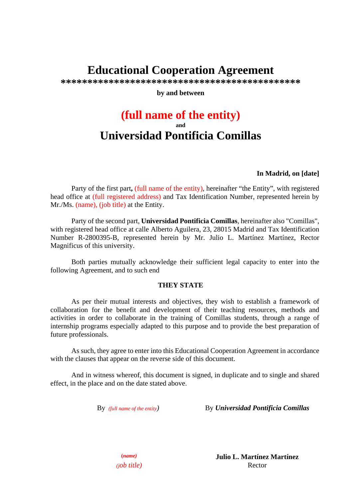# **Educational Cooperation Agreement**

**\*\*\*\*\*\*\*\*\*\*\*\*\*\*\*\*\*\*\*\*\*\*\*\*\*\*\*\*\*\*\*\*\*\*\*\*\*\*\*\*\*\*\*\*\*** 

**by and between** 

## **(full name of the entity) and Universidad Pontificia Comillas**

## **In Madrid, on [date]**

Party of the first part**,** (full name of the entity), hereinafter "the Entity", with registered head office at (full registered address) and Tax Identification Number, represented herein by Mr./Ms. (name), (job title) at the Entity.

Party of the second part, **Universidad Pontificia Comillas**, hereinafter also "Comillas", with registered head office at calle Alberto Aguilera, 23, 28015 Madrid and Tax Identification Number R-2800395-B, represented herein by Mr. Julio L. Martínez Martínez, Rector Magnificus of this university.

Both parties mutually acknowledge their sufficient legal capacity to enter into the following Agreement, and to such end

## **THEY STATE**

As per their mutual interests and objectives, they wish to establish a framework of collaboration for the benefit and development of their teaching resources, methods and activities in order to collaborate in the training of Comillas students, through a range of internship programs especially adapted to this purpose and to provide the best preparation of future professionals.

As such, they agree to enter into this Educational Cooperation Agreement in accordance with the clauses that appear on the reverse side of this document.

And in witness whereof, this document is signed, in duplicate and to single and shared effect, in the place and on the date stated above.

By *(full name of the entity)* By *Universidad Pontificia Comillas*

**(***name)* **Julio L. Martínez Martínez**  *(job title)* Rector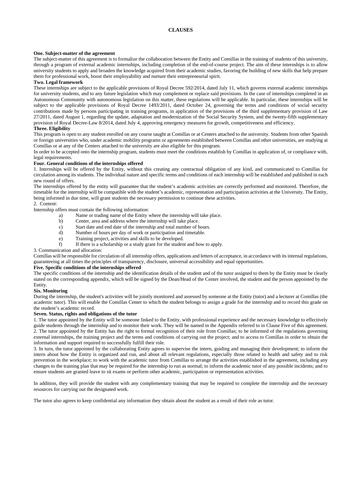#### **One. Subject-matter of the agreement**

The subject-matter of this agreement is to formalize the collaboration between the Entity and Comillas in the training of students of this university, through a program of external academic internships, including completion of the end-of-course project. The aim of these internships is to allow university students to apply and broaden the knowledge acquired from their academic studies, favoring the building of new skills that help prepare them for professional work, boost their employability and nurture their entrepreneurial spirit.

#### **Two. Legal framework**

These internships are subject to the applicable provisions of Royal Decree 592/2014, dated July 11, which governs external academic internships for university students, and to any future legislation which may complement or replace said provisions. In the case of internships completed in an Autonomous Community with autonomous legislation on this matter, these regulations will be applicable. In particular, these internships will be subject to the applicable provisions of Royal Decree 1493/2011, dated October 24, governing the terms and conditions of social security contributions made by persons participating in training programs, in application of the provisions of the third supplementary provision of Law 27/2011, dated August 1, regarding the update, adaptation and modernization of the Social Security System, and the twenty-fifth supplementary provision of Royal Decree-Law 8/2014, dated July 4, approving emergency measures for growth, competitiveness and efficiency.

#### **Three. Eligibility**

This program is open to any student enrolled on any course taught at Comillas or at Centers attached to the university. Students from other Spanish or foreign universities who, under academic mobility programs or agreements established between Comillas and other universities, are studying at Comillas or at any of the Centers attached to the university are also eligible for this program.

In order to be accepted onto the internship program, students must meet the conditions establish by Comillas in application of, or compliance with, legal requirements.

#### **Four. General conditions of the internships offered**

1. Internships will be offered by the Entity, without this creating any contractual obligation of any kind, and communicated to Comillas for circulation among its students. The individual nature and specific terms and conditions of each internship will be established and published in each new round of offers.

The internships offered by the entity will guarantee that the student's academic activities are correctly performed and monitored. Therefore, the timetable for the internship will be compatible with the student's academic, representation and participation activities at the University. The Entity, being informed in due time, will grant students the necessary permission to continue these activities.

#### 2. Content:

Internship offers must contain the following information:

- a) Name or trading name of the Entity where the internship will take place.
- b) Center, area and address where the internship will take place.
- c) Start date and end date of the internship and total number of hours.
- d) Number of hours per day of work or participation and timetable.
- e) Training project, activities and skills to be developed.
- f) If there is a scholarship or a study grant for the student and how to apply.

3. Communication and allocation:

Comillas will be responsible for circulation of all internship offers, applications and letters of acceptance, in accordance with its internal regulations, guaranteeing at all times the principles of transparency, disclosure, universal accessibility and equal opportunities.

#### **Five. Specific conditions of the internships offered**

The specific conditions of the internship and the identification details of the student and of the tutor assigned to them by the Entity must be clearly stated on the corresponding appendix, which will be signed by the Dean/Head of the Center involved, the student and the person appointed by the Entity.

#### **Six. Monitoring**

During the internship, the student's activities will be jointly monitored and assessed by someone at the Entity (tutor) and a lecturer at Comillas (the academic tutor). This will enable the Comillas Center to which the student belongs to assign a grade for the internship and to record this grade on the student's academic record.

#### **Seven. Status, rights and obligations of the tutor**

1. The tutor appointed by the Entity will be someone linked to the Entity, with professional experience and the necessary knowledge to effectively guide students through the internship and to monitor their work. They will be named in the Appendix referred to in Clause Five of this agreement. 2. The tutor appointed by the Entity has the right to formal recognition of their role from Comillas; to be informed of the regulations governing external internships, the training project and the terms and conditions of carrying out the project; and to access to Comillas in order to obtain the information and support required to successfully fulfill their role.

3. In turn, the tutor appointed by the collaborating Entity agrees to supervise the intern, guiding and managing their development; to inform the intern about how the Entity is organized and run, and about all relevant regulations, especially those related to health and safety and to risk prevention in the workplace; to work with the academic tutor from Comillas to arrange the activities established in the agreement, including any changes to the training plan that may be required for the internship to run as normal; to inform the academic tutor of any possible incidents; and to ensure students are granted leave to sit exams or perform other academic, participation or representation activities.

In addition, they will provide the student with any complementary training that may be required to complete the internship and the necessary resources for carrying out the designated work.

The tutor also agrees to keep confidential any information they obtain about the student as a result of their role as tutor.